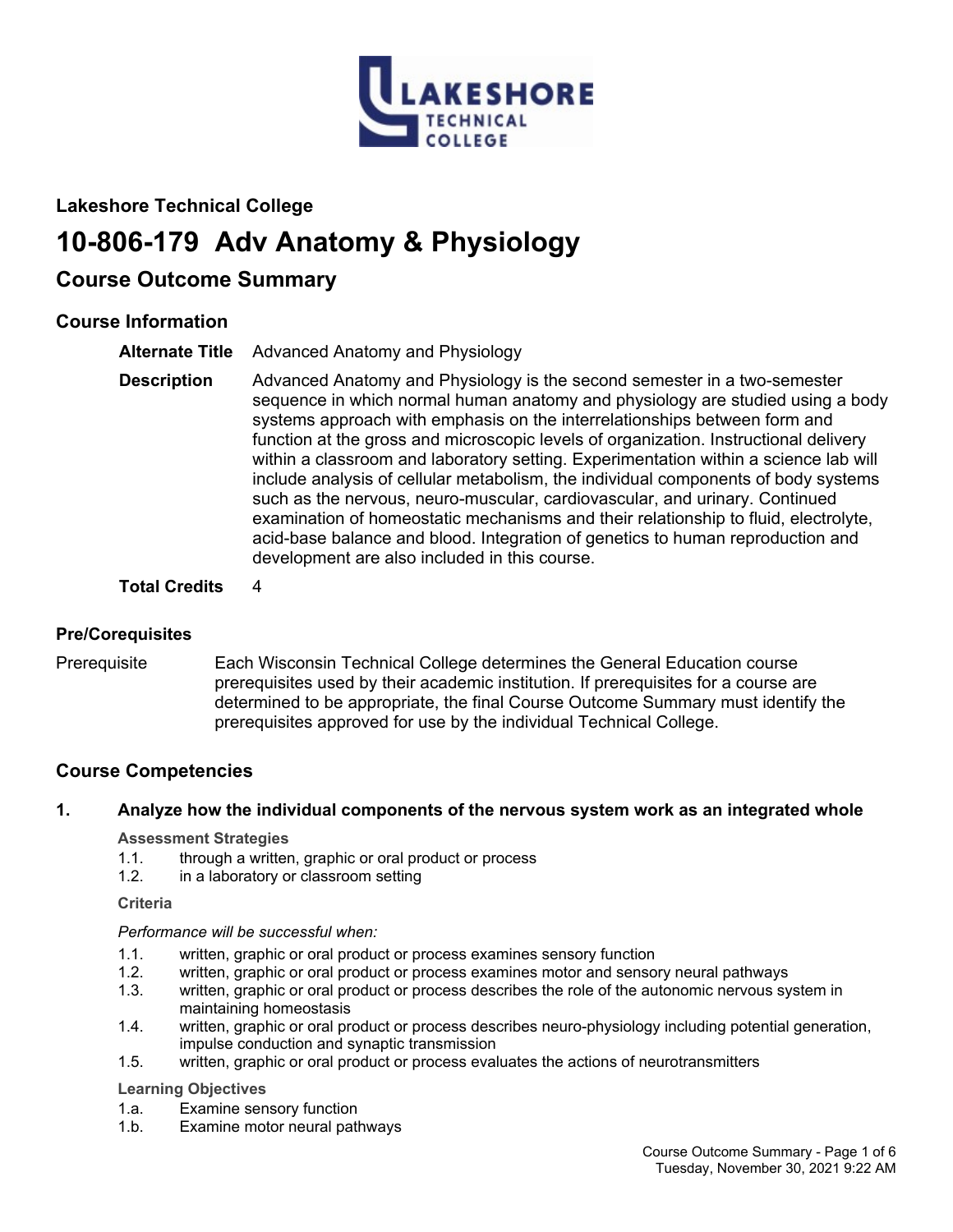

## **Lakeshore Technical College**

# **10-806-179 Adv Anatomy & Physiology**

## **Course Outcome Summary**

## **Course Information**

- **Alternate Title** Advanced Anatomy and Physiology
- **Description** Advanced Anatomy and Physiology is the second semester in a two-semester sequence in which normal human anatomy and physiology are studied using a body systems approach with emphasis on the interrelationships between form and function at the gross and microscopic levels of organization. Instructional delivery within a classroom and laboratory setting. Experimentation within a science lab will include analysis of cellular metabolism, the individual components of body systems such as the nervous, neuro-muscular, cardiovascular, and urinary. Continued examination of homeostatic mechanisms and their relationship to fluid, electrolyte, acid-base balance and blood. Integration of genetics to human reproduction and development are also included in this course.

## **Total Credits** 4

## **Pre/Corequisites**

Prerequisite Each Wisconsin Technical College determines the General Education course prerequisites used by their academic institution. If prerequisites for a course are determined to be appropriate, the final Course Outcome Summary must identify the prerequisites approved for use by the individual Technical College.

## **Course Competencies**

## **1. Analyze how the individual components of the nervous system work as an integrated whole**

## **Assessment Strategies**

- 1.1. through a written, graphic or oral product or process
- 1.2. in a laboratory or classroom setting

**Criteria**

## *Performance will be successful when:*

- 1.1. written, graphic or oral product or process examines sensory function
- 1.2. written, graphic or oral product or process examines motor and sensory neural pathways
- 1.3. written, graphic or oral product or process describes the role of the autonomic nervous system in maintaining homeostasis
- 1.4. written, graphic or oral product or process describes neuro-physiology including potential generation, impulse conduction and synaptic transmission
- 1.5. written, graphic or oral product or process evaluates the actions of neurotransmitters

## **Learning Objectives**

- 1.a. Examine sensory function
- 1.b. Examine motor neural pathways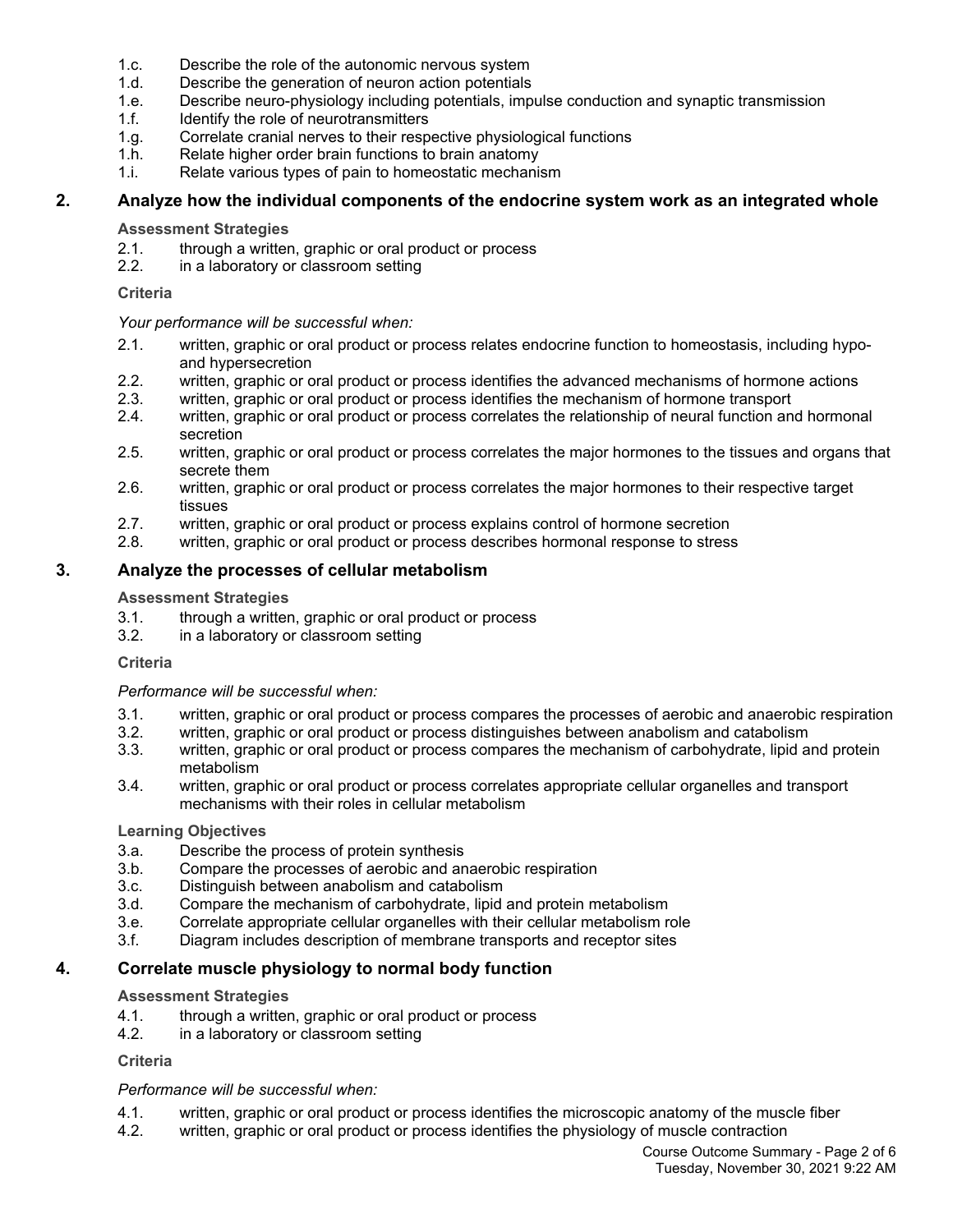- 1.c. Describe the role of the autonomic nervous system
- 1.d. Describe the generation of neuron action potentials
- 1.e. Describe neuro-physiology including potentials, impulse conduction and synaptic transmission
- 1.f. **Identify the role of neurotransmitters**
- 1.g. Correlate cranial nerves to their respective physiological functions
- 1.h. Relate higher order brain functions to brain anatomy
- 1.i. Relate various types of pain to homeostatic mechanism

## **2. Analyze how the individual components of the endocrine system work as an integrated whole**

## **Assessment Strategies**

- 2.1. through a written, graphic or oral product or process
- 2.2. in a laboratory or classroom setting

## **Criteria**

## *Your performance will be successful when:*

- 2.1. written, graphic or oral product or process relates endocrine function to homeostasis, including hypoand hypersecretion
- 2.2. written, graphic or oral product or process identifies the advanced mechanisms of hormone actions
- 2.3. written, graphic or oral product or process identifies the mechanism of hormone transport
- 2.4. written, graphic or oral product or process correlates the relationship of neural function and hormonal secretion
- 2.5. written, graphic or oral product or process correlates the major hormones to the tissues and organs that secrete them
- 2.6. written, graphic or oral product or process correlates the major hormones to their respective target tissues
- 2.7. written, graphic or oral product or process explains control of hormone secretion
- 2.8. written, graphic or oral product or process describes hormonal response to stress

## **3. Analyze the processes of cellular metabolism**

## **Assessment Strategies**

- 3.1. through a written, graphic or oral product or process 3.2. in a laboratory or classroom setting
- in a laboratory or classroom setting

#### **Criteria**

#### *Performance will be successful when:*

- 3.1. written, graphic or oral product or process compares the processes of aerobic and anaerobic respiration
- 3.2. written, graphic or oral product or process distinguishes between anabolism and catabolism
- 3.3. written, graphic or oral product or process compares the mechanism of carbohydrate, lipid and protein metabolism
- 3.4. written, graphic or oral product or process correlates appropriate cellular organelles and transport mechanisms with their roles in cellular metabolism

#### **Learning Objectives**

- 3.a. Describe the process of protein synthesis
- 3.b. Compare the processes of aerobic and anaerobic respiration
- 3.c. Distinguish between anabolism and catabolism
- 3.d. Compare the mechanism of carbohydrate, lipid and protein metabolism
- 3.e. Correlate appropriate cellular organelles with their cellular metabolism role
- 3.f. Diagram includes description of membrane transports and receptor sites

## **4. Correlate muscle physiology to normal body function**

## **Assessment Strategies**

- 4.1. through a written, graphic or oral product or process
- 4.2. in a laboratory or classroom setting

## **Criteria**

## *Performance will be successful when:*

- 4.1. written, graphic or oral product or process identifies the microscopic anatomy of the muscle fiber
- 4.2. written, graphic or oral product or process identifies the physiology of muscle contraction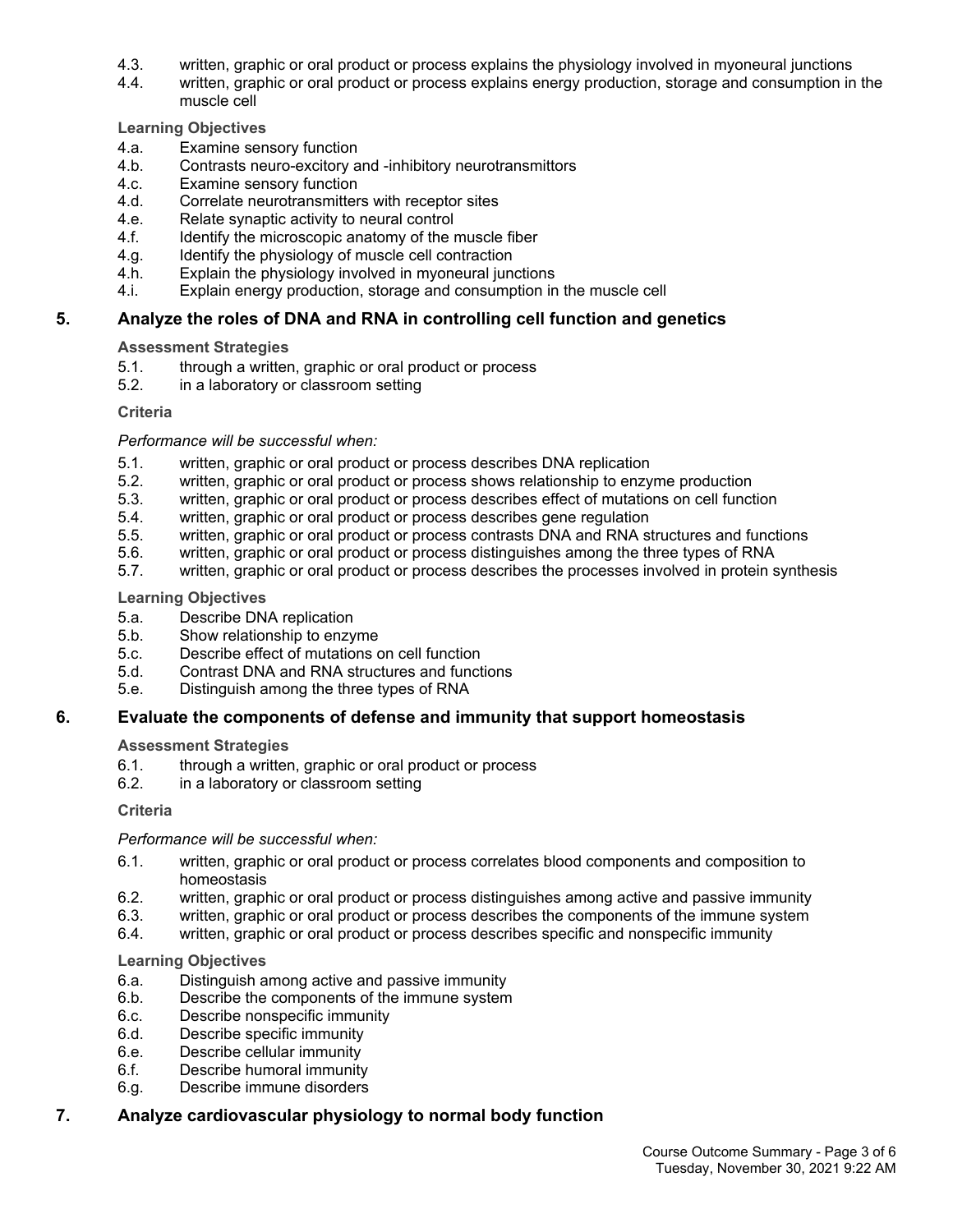- 4.3. written, graphic or oral product or process explains the physiology involved in myoneural junctions
- 4.4. written, graphic or oral product or process explains energy production, storage and consumption in the muscle cell

#### **Learning Objectives**

- 4.a. Examine sensory function
- 4.b. Contrasts neuro-excitory and -inhibitory neurotransmittors
- 4.c. Examine sensory function
- 4.d. Correlate neurotransmitters with receptor sites
- 4.e. Relate synaptic activity to neural control
- 4.f. Identify the microscopic anatomy of the muscle fiber
- 4.g. Identify the physiology of muscle cell contraction
- 4.h. Explain the physiology involved in myoneural junctions
- 4.i. Explain energy production, storage and consumption in the muscle cell

## **5. Analyze the roles of DNA and RNA in controlling cell function and genetics**

#### **Assessment Strategies**

- 5.1. through a written, graphic or oral product or process<br>5.2. in a laboratory or classroom setting
- in a laboratory or classroom setting

#### **Criteria**

#### *Performance will be successful when:*

- 5.1. written, graphic or oral product or process describes DNA replication
- 5.2. written, graphic or oral product or process shows relationship to enzyme production
- 5.3. written, graphic or oral product or process describes effect of mutations on cell function
- 5.4. written, graphic or oral product or process describes gene regulation
- 5.5. written, graphic or oral product or process contrasts DNA and RNA structures and functions
- 5.6. written, graphic or oral product or process distinguishes among the three types of RNA
- 5.7. written, graphic or oral product or process describes the processes involved in protein synthesis

#### **Learning Objectives**

- 5.a. Describe DNA replication
- 5.b. Show relationship to enzyme
- 5.c. Describe effect of mutations on cell function
- 5.d. Contrast DNA and RNA structures and functions
- 5.e. Distinguish among the three types of RNA

## **6. Evaluate the components of defense and immunity that support homeostasis**

#### **Assessment Strategies**

- 6.1. through a written, graphic or oral product or process
- 6.2. in a laboratory or classroom setting

#### **Criteria**

#### *Performance will be successful when:*

- 6.1. written, graphic or oral product or process correlates blood components and composition to homeostasis
- 6.2. written, graphic or oral product or process distinguishes among active and passive immunity
- 6.3. written, graphic or oral product or process describes the components of the immune system
- 6.4. written, graphic or oral product or process describes specific and nonspecific immunity

#### **Learning Objectives**

- 6.a. Distinguish among active and passive immunity
- 6.b. Describe the components of the immune system
- 6.c. Describe nonspecific immunity
- 6.d. Describe specific immunity
- 6.e. Describe cellular immunity
- 6.f. Describe humoral immunity
- 6.g. Describe immune disorders

## **7. Analyze cardiovascular physiology to normal body function**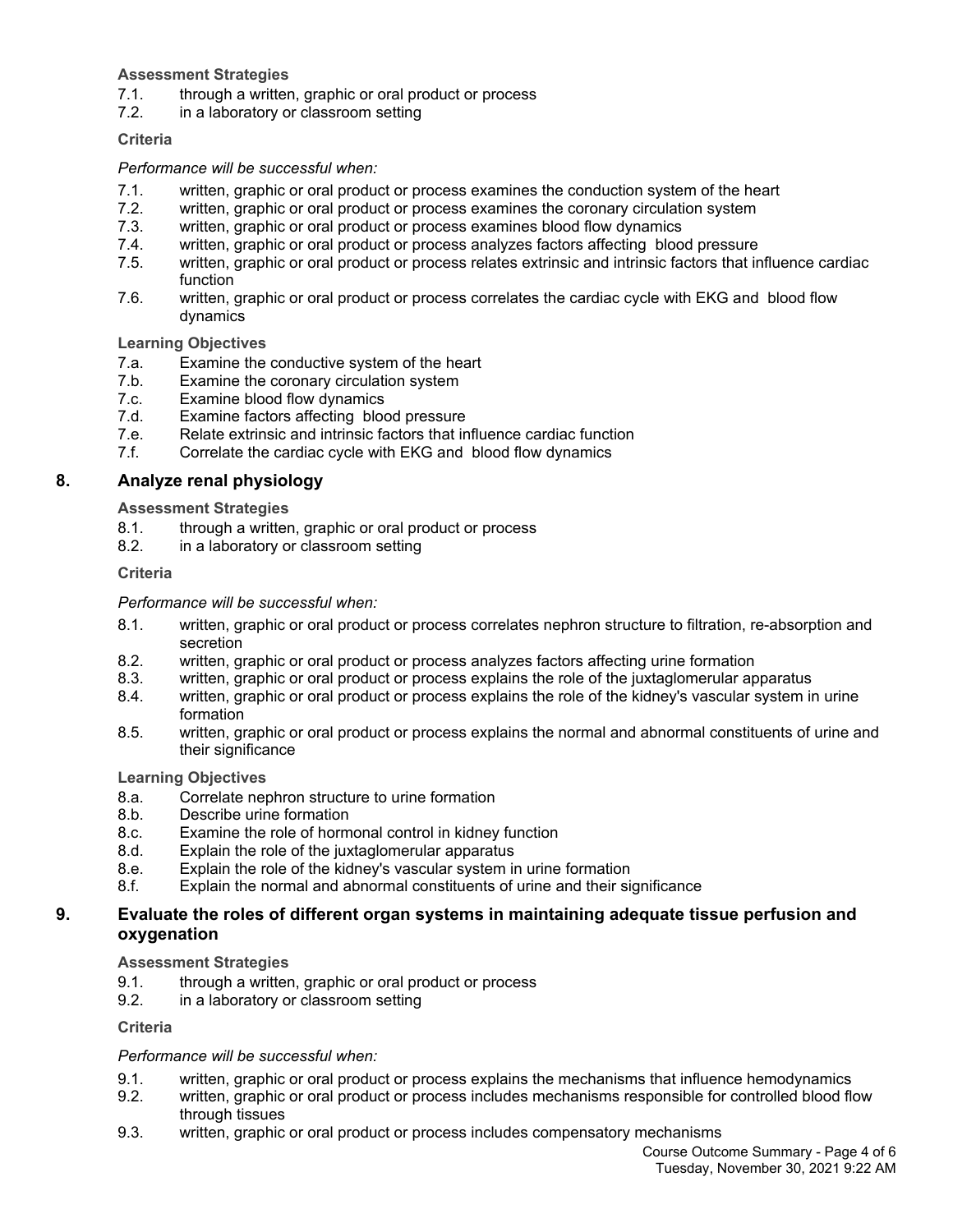## **Assessment Strategies**

- 7.1. through a written, graphic or oral product or process
- 7.2. in a laboratory or classroom setting

## **Criteria**

## *Performance will be successful when:*

- 7.1. written, graphic or oral product or process examines the conduction system of the heart
- 7.2. written, graphic or oral product or process examines the coronary circulation system
- 7.3. written, graphic or oral product or process examines blood flow dynamics
- 7.4. written, graphic or oral product or process analyzes factors affecting blood pressure
- 7.5. written, graphic or oral product or process relates extrinsic and intrinsic factors that influence cardiac function
- 7.6. written, graphic or oral product or process correlates the cardiac cycle with EKG and blood flow dynamics

## **Learning Objectives**

- 7.a. Examine the conductive system of the heart
- 7.b. Examine the coronary circulation system
- 7.c. Examine blood flow dynamics
- 7.d. Examine factors affecting blood pressure
- 7.e. Relate extrinsic and intrinsic factors that influence cardiac function
- 7.f. Correlate the cardiac cycle with EKG and blood flow dynamics

## **8. Analyze renal physiology**

**Assessment Strategies**

- 8.1. through a written, graphic or oral product or process
- 8.2. in a laboratory or classroom setting

## **Criteria**

## *Performance will be successful when:*

- 8.1. written, graphic or oral product or process correlates nephron structure to filtration, re-absorption and secretion
- 8.2. written, graphic or oral product or process analyzes factors affecting urine formation
- 8.3. written, graphic or oral product or process explains the role of the juxtaglomerular apparatus
- 8.4. written, graphic or oral product or process explains the role of the kidney's vascular system in urine formation
- 8.5. written, graphic or oral product or process explains the normal and abnormal constituents of urine and their significance

## **Learning Objectives**

- 8.a. Correlate nephron structure to urine formation
- 8.b. Describe urine formation
- 8.c. Examine the role of hormonal control in kidney function
- 8.d. Explain the role of the juxtaglomerular apparatus
- 8.e. Explain the role of the kidney's vascular system in urine formation
- 8.f. Explain the normal and abnormal constituents of urine and their significance

## **9. Evaluate the roles of different organ systems in maintaining adequate tissue perfusion and oxygenation**

## **Assessment Strategies**

- 9.1. through a written, graphic or oral product or process
- 9.2. in a laboratory or classroom setting

## **Criteria**

## *Performance will be successful when:*

- 9.1. written, graphic or oral product or process explains the mechanisms that influence hemodynamics
- 9.2. written, graphic or oral product or process includes mechanisms responsible for controlled blood flow through tissues
- 9.3. written, graphic or oral product or process includes compensatory mechanisms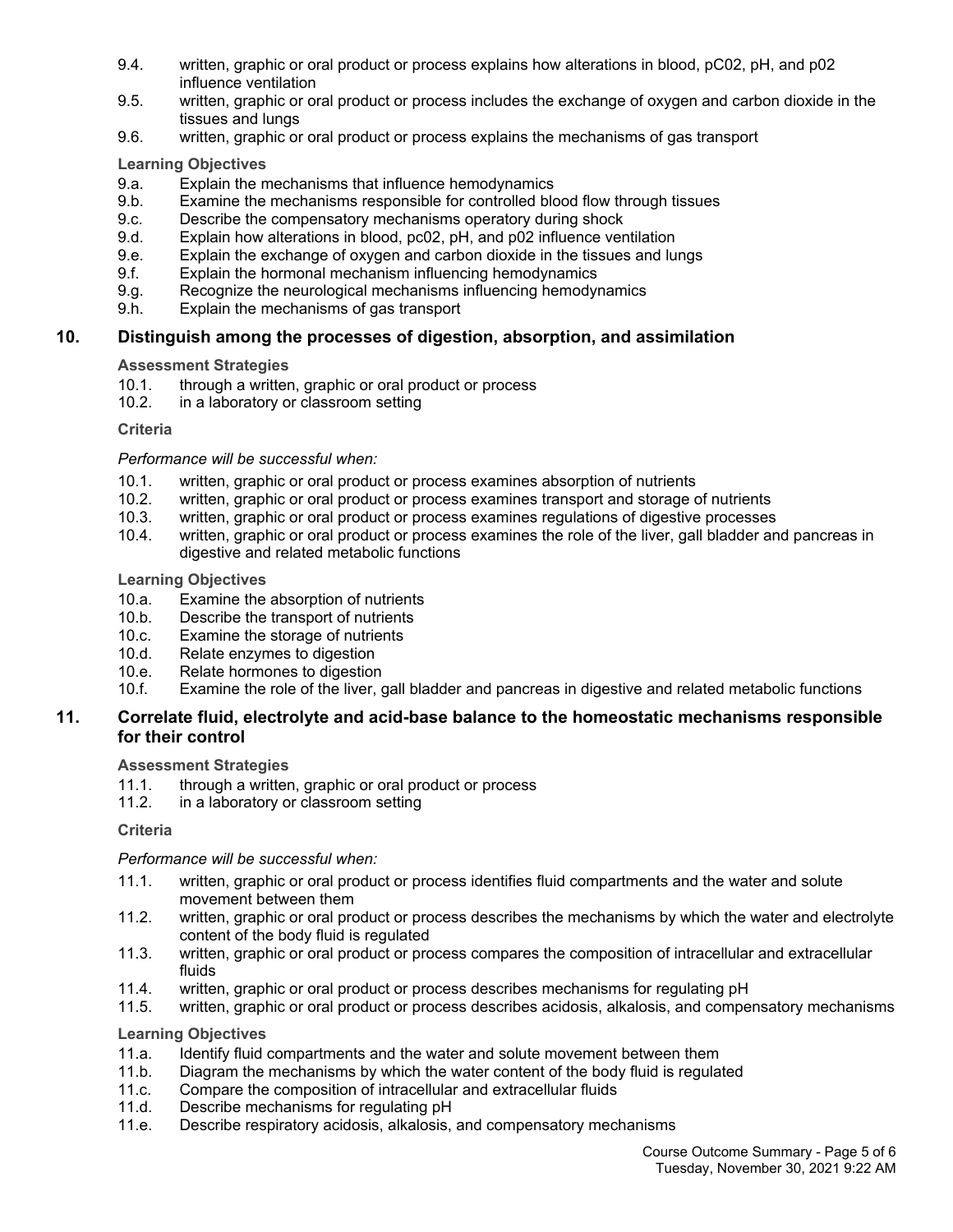- 9.4. written, graphic or oral product or process explains how alterations in blood, pC02, pH, and p02 influence ventilation
- 9.5. written, graphic or oral product or process includes the exchange of oxygen and carbon dioxide in the tissues and lungs
- 9.6. written, graphic or oral product or process explains the mechanisms of gas transport

## **Learning Objectives**

- 9.a. Explain the mechanisms that influence hemodynamics
- 9.b. Examine the mechanisms responsible for controlled blood flow through tissues
- 9.c. Describe the compensatory mechanisms operatory during shock
- 9.d. Explain how alterations in blood, pc02, pH, and p02 influence ventilation
- 9.e. Explain the exchange of oxygen and carbon dioxide in the tissues and lungs
- 9.f. Explain the hormonal mechanism influencing hemodynamics
- 9.g. Recognize the neurological mechanisms influencing hemodynamics
- 9.h. Explain the mechanisms of gas transport

## **10. Distinguish among the processes of digestion, absorption, and assimilation**

## **Assessment Strategies**

- 10.1. through a written, graphic or oral product or process
- 10.2. in a laboratory or classroom setting

## **Criteria**

## *Performance will be successful when:*

- 10.1. written, graphic or oral product or process examines absorption of nutrients
- 10.2. written, graphic or oral product or process examines transport and storage of nutrients
- 10.3. written, graphic or oral product or process examines regulations of digestive processes
- 10.4. written, graphic or oral product or process examines the role of the liver, gall bladder and pancreas in digestive and related metabolic functions

## **Learning Objectives**

- 10.a. Examine the absorption of nutrients
- 10.b. Describe the transport of nutrients
- 10.c. Examine the storage of nutrients
- 10.d. Relate enzymes to digestion
- 10.e. Relate hormones to digestion
- 10.f. Examine the role of the liver, gall bladder and pancreas in digestive and related metabolic functions

## **11. Correlate fluid, electrolyte and acid-base balance to the homeostatic mechanisms responsible for their control**

## **Assessment Strategies**

- 11.1. through a written, graphic or oral product or process
- 11.2. in a laboratory or classroom setting

#### **Criteria**

## *Performance will be successful when:*

- 11.1. written, graphic or oral product or process identifies fluid compartments and the water and solute movement between them
- 11.2. written, graphic or oral product or process describes the mechanisms by which the water and electrolyte content of the body fluid is regulated
- 11.3. written, graphic or oral product or process compares the composition of intracellular and extracellular fluids
- 11.4. written, graphic or oral product or process describes mechanisms for regulating pH
- 11.5. written, graphic or oral product or process describes acidosis, alkalosis, and compensatory mechanisms

#### **Learning Objectives**

- 11.a. Identify fluid compartments and the water and solute movement between them
- 11.b. Diagram the mechanisms by which the water content of the body fluid is regulated
- 11.c. Compare the composition of intracellular and extracellular fluids
- 11.d. Describe mechanisms for regulating pH
- 11.e. Describe respiratory acidosis, alkalosis, and compensatory mechanisms